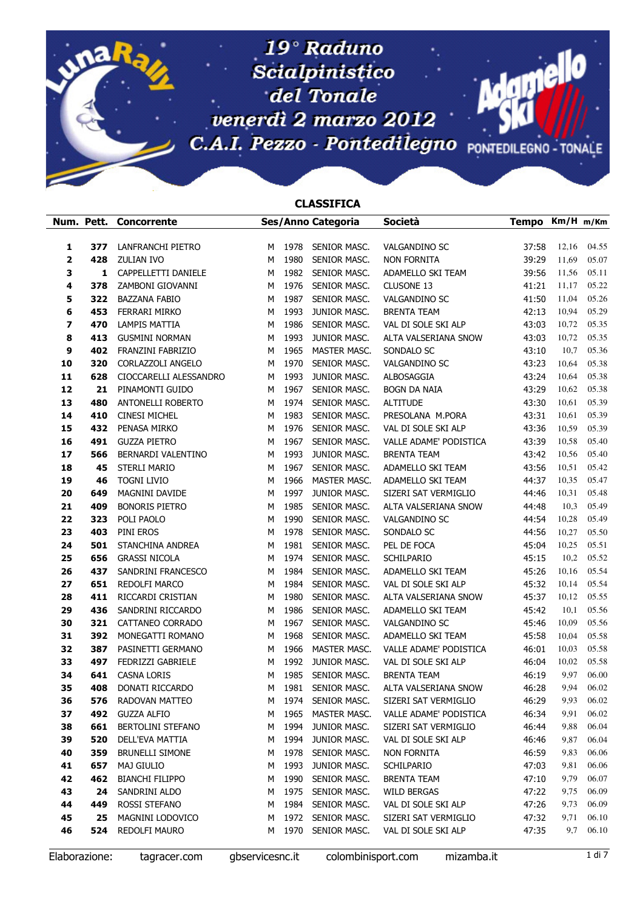## C. del Tonale<br>
C.A. internationale veneration del marzo 2012 C.A.I. Pezzo - Pontedilegno PONTEDILEGNO - TONALE  $Scial pinistico$ 19<sup>°</sup> Raduno

## CLASSIFICA

| Num. Pett.   |     | Concorrente              |   |      | Ses/Anno Categoria  | <b>Società</b>         | Tempo Km/H m/Km |       |       |
|--------------|-----|--------------------------|---|------|---------------------|------------------------|-----------------|-------|-------|
|              |     |                          |   |      |                     |                        |                 |       |       |
| 1            | 377 | LANFRANCHI PIETRO        | м | 1978 | SENIOR MASC.        | VALGANDINO SC          | 37:58           | 12,16 | 04.55 |
| $\mathbf{2}$ | 428 | <b>ZULIAN IVO</b>        | м | 1980 | SENIOR MASC.        | <b>NON FORNITA</b>     | 39:29           | 11,69 | 05.07 |
| 3            | 1   | CAPPELLETTI DANIELE      | м | 1982 | SENIOR MASC.        | ADAMELLO SKI TEAM      | 39:56           | 11,56 | 05.11 |
| 4            | 378 | ZAMBONI GIOVANNI         | м | 1976 | SENIOR MASC.        | <b>CLUSONE 13</b>      | 41:21           | 11,17 | 05.22 |
| 5            | 322 | <b>BAZZANA FABIO</b>     | M | 1987 | SENIOR MASC.        | VALGANDINO SC          | 41:50           | 11,04 | 05.26 |
| 6            | 453 | FERRARI MIRKO            | М | 1993 | JUNIOR MASC.        | <b>BRENTA TEAM</b>     | 42:13           | 10,94 | 05.29 |
| 7            | 470 | <b>LAMPIS MATTIA</b>     | M | 1986 | SENIOR MASC.        | VAL DI SOLE SKI ALP    | 43:03           | 10,72 | 05.35 |
| 8            | 413 | <b>GUSMINI NORMAN</b>    | M | 1993 | JUNIOR MASC.        | ALTA VALSERIANA SNOW   | 43:03           | 10,72 | 05.35 |
| 9            | 402 | FRANZINI FABRIZIO        | M | 1965 | MASTER MASC.        | SONDALO SC             | 43:10           | 10,7  | 05.36 |
| 10           | 320 | CORLAZZOLI ANGELO        | М | 1970 | SENIOR MASC.        | VALGANDINO SC          | 43:23           | 10,64 | 05.38 |
| 11           | 628 | CIOCCARELLI ALESSANDRO   | M | 1993 | JUNIOR MASC.        | ALBOSAGGIA             | 43:24           | 10,64 | 05.38 |
| 12           | 21  | PINAMONTI GUIDO          | M | 1967 | SENIOR MASC.        | <b>BOGN DA NAIA</b>    | 43:29           | 10,62 | 05.38 |
| 13           | 480 | <b>ANTONELLI ROBERTO</b> | M | 1974 | SENIOR MASC.        | <b>ALTITUDE</b>        | 43:30           | 10,61 | 05.39 |
| 14           | 410 | <b>CINESI MICHEL</b>     | M | 1983 | SENIOR MASC.        | PRESOLANA M.PORA       | 43:31           | 10,61 | 05.39 |
| 15           | 432 | PENASA MIRKO             | M | 1976 | SENIOR MASC.        | VAL DI SOLE SKI ALP    | 43:36           | 10,59 | 05.39 |
| 16           | 491 | <b>GUZZA PIETRO</b>      | M | 1967 | SENIOR MASC.        | VALLE ADAME' PODISTICA | 43:39           | 10,58 | 05.40 |
| 17           | 566 | BERNARDI VALENTINO       | M | 1993 | JUNIOR MASC.        | <b>BRENTA TEAM</b>     | 43:42           | 10,56 | 05.40 |
| 18           | 45  | STERLI MARIO             | М | 1967 | <b>SENIOR MASC.</b> | ADAMELLO SKI TEAM      | 43:56           | 10,51 | 05.42 |
| 19           | 46  | <b>TOGNI LIVIO</b>       | M | 1966 | MASTER MASC.        | ADAMELLO SKI TEAM      | 44:37           | 10,35 | 05.47 |
| 20           | 649 | MAGNINI DAVIDE           | M | 1997 | JUNIOR MASC.        | SIZERI SAT VERMIGLIO   | 44:46           | 10,31 | 05.48 |
| 21           | 409 | <b>BONORIS PIETRO</b>    | M | 1985 | SENIOR MASC.        | ALTA VALSERIANA SNOW   | 44:48           | 10,3  | 05.49 |
| 22           | 323 | POLI PAOLO               | М | 1990 | SENIOR MASC.        | <b>VALGANDINO SC</b>   | 44:54           | 10,28 | 05.49 |
| 23           | 403 | PINI EROS                | M | 1978 | SENIOR MASC.        | SONDALO SC             | 44:56           | 10,27 | 05.50 |
| 24           | 501 | STANCHINA ANDREA         | M | 1981 | SENIOR MASC.        | PEL DE FOCA            | 45:04           | 10,25 | 05.51 |
| 25           | 656 | <b>GRASSI NICOLA</b>     | M | 1974 | SENIOR MASC.        | SCHILPARIO             | 45:15           | 10,2  | 05.52 |
| 26           | 437 | SANDRINI FRANCESCO       | M | 1984 | SENIOR MASC.        | ADAMELLO SKI TEAM      | 45:26           | 10,16 | 05.54 |
| 27           | 651 | REDOLFI MARCO            | М | 1984 | SENIOR MASC.        | VAL DI SOLE SKI ALP    | 45:32           | 10,14 | 05.54 |
| 28           | 411 | RICCARDI CRISTIAN        | М | 1980 | SENIOR MASC.        | ALTA VALSERIANA SNOW   | 45:37           | 10,12 | 05.55 |
| 29           | 436 | SANDRINI RICCARDO        | M | 1986 | SENIOR MASC.        | ADAMELLO SKI TEAM      | 45:42           | 10,1  | 05.56 |
| 30           | 321 | CATTANEO CORRADO         | М | 1967 | SENIOR MASC.        | VALGANDINO SC          | 45:46           | 10,09 | 05.56 |
| 31           | 392 | MONEGATTI ROMANO         | М | 1968 | SENIOR MASC.        | ADAMELLO SKI TEAM      | 45:58           | 10,04 | 05.58 |
| 32           | 387 | PASINETTI GERMANO        | м | 1966 | MASTER MASC.        | VALLE ADAME' PODISTICA | 46:01           | 10,03 | 05.58 |
| 33           | 497 | FEDRIZZI GABRIELE        | м | 1992 | JUNIOR MASC.        | VAL DI SOLE SKI ALP    | 46:04           | 10,02 | 05.58 |
| 34           | 641 | CASNA LORIS              | M | 1985 | SENIOR MASC.        | <b>BRENTA TEAM</b>     | 46:19           | 9,97  | 06.00 |
| 35           | 408 | DONATI RICCARDO          | М | 1981 | SENIOR MASC.        | ALTA VALSERIANA SNOW   | 46:28           | 9,94  | 06.02 |
| 36           | 576 | RADOVAN MATTEO           | M | 1974 | SENIOR MASC.        | SIZERI SAT VERMIGLIO   | 46:29           | 9,93  | 06.02 |
| 37           | 492 | <b>GUZZA ALFIO</b>       | M | 1965 | MASTER MASC.        | VALLE ADAME' PODISTICA | 46:34           | 9,91  | 06.02 |
| 38           | 661 | <b>BERTOLINI STEFANO</b> | м | 1994 | JUNIOR MASC.        | SIZERI SAT VERMIGLIO   | 46:44           | 9,88  | 06.04 |
| 39           | 520 | DELL'EVA MATTIA          | М | 1994 | JUNIOR MASC.        | VAL DI SOLE SKI ALP    | 46:46           | 9,87  | 06.04 |
| 40           | 359 | <b>BRUNELLI SIMONE</b>   | M | 1978 | SENIOR MASC.        | <b>NON FORNITA</b>     | 46:59           | 9,83  | 06.06 |
| 41           | 657 | <b>MAJ GIULIO</b>        | M | 1993 | JUNIOR MASC.        | SCHILPARIO             | 47:03           | 9,81  | 06.06 |
| 42           | 462 | <b>BIANCHI FILIPPO</b>   | M | 1990 | SENIOR MASC.        | <b>BRENTA TEAM</b>     | 47:10           | 9,79  | 06.07 |
| 43           | 24  | SANDRINI ALDO            | M | 1975 | SENIOR MASC.        | <b>WILD BERGAS</b>     | 47:22           | 9,75  | 06.09 |
| 44           | 449 | ROSSI STEFANO            | M | 1984 | SENIOR MASC.        | VAL DI SOLE SKI ALP    | 47:26           | 9,73  | 06.09 |
| 45           | 25  | MAGNINI LODOVICO         | M | 1972 | SENIOR MASC.        | SIZERI SAT VERMIGLIO   | 47:32           | 9,71  | 06.10 |
| 46           | 524 | REDOLFI MAURO            | М | 1970 | SENIOR MASC.        | VAL DI SOLE SKI ALP    | 47:35           | 9,7   | 06.10 |

Elaborazione: tagracer.com gbservicesnc.it colombinisport.com mizamba.it 1 di 7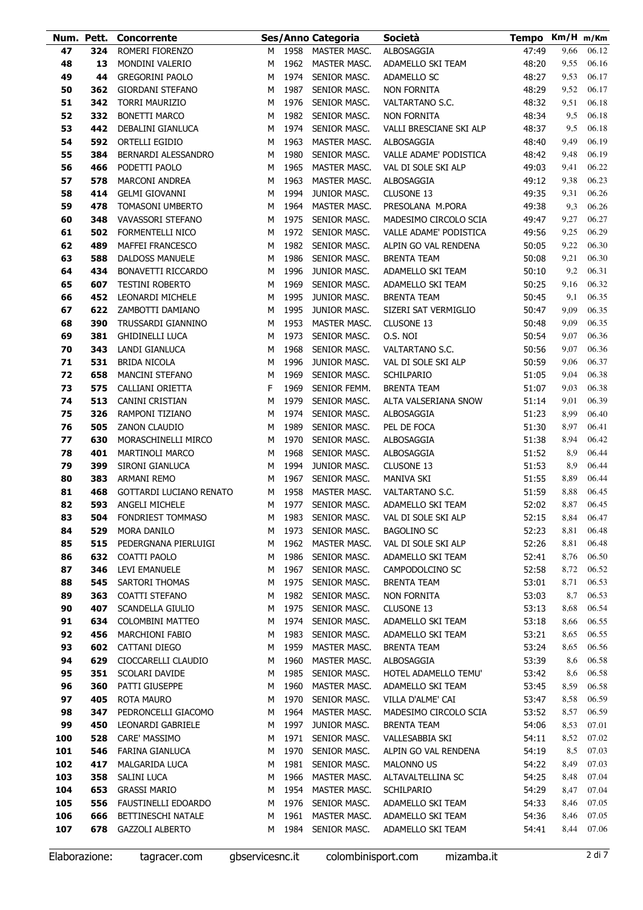|     |     | Num. Pett. Concorrente    |        |      | Ses/Anno Categoria  | Società                 | Tempo Km/H m/Km |                  |       |
|-----|-----|---------------------------|--------|------|---------------------|-------------------------|-----------------|------------------|-------|
| 47  | 324 | ROMERI FIORENZO           | м      |      | 1958 MASTER MASC.   | ALBOSAGGIA              | 47:49           | 9,66             | 06.12 |
| 48  | 13  | MONDINI VALERIO           | М      | 1962 | MASTER MASC.        | ADAMELLO SKI TEAM       | 48:20           | 9,55             | 06.16 |
| 49  | 44  | <b>GREGORINI PAOLO</b>    | M      | 1974 | SENIOR MASC.        | ADAMELLO SC             | 48:27           | 9,53             | 06.17 |
| 50  | 362 | <b>GIORDANI STEFANO</b>   | М      | 1987 | SENIOR MASC.        | NON FORNITA             | 48:29           | 9,52             | 06.17 |
| 51  | 342 | <b>TORRI MAURIZIO</b>     | M      | 1976 | SENIOR MASC.        | VALTARTANO S.C.         | 48:32           | 9,51             | 06.18 |
| 52  | 332 | <b>BONETTI MARCO</b>      | М      | 1982 | SENIOR MASC.        | NON FORNITA             | 48:34           | 9,5              | 06.18 |
| 53  | 442 | DEBALINI GIANLUCA         | м      | 1974 | SENIOR MASC.        | VALLI BRESCIANE SKI ALP | 48:37           | 9,5              | 06.18 |
| 54  | 592 | <b>ORTELLI EGIDIO</b>     | М      | 1963 | MASTER MASC.        | ALBOSAGGIA              | 48:40           | 9,49             | 06.19 |
| 55  | 384 | BERNARDI ALESSANDRO       | М      | 1980 | SENIOR MASC.        | VALLE ADAME' PODISTICA  | 48:42           | 9,48             | 06.19 |
| 56  | 466 | PODETTI PAOLO             | м      | 1965 | MASTER MASC.        | VAL DI SOLE SKI ALP     | 49:03           | 9,41             | 06.22 |
| 57  | 578 | <b>MARCONI ANDREA</b>     | м      | 1963 | <b>MASTER MASC.</b> | ALBOSAGGIA              | 49:12           | 9,38             | 06.23 |
| 58  | 414 | <b>GELMI GIOVANNI</b>     | М      | 1994 | JUNIOR MASC.        | CLUSONE 13              | 49:35           | 9,31             | 06.26 |
| 59  | 478 | <b>TOMASONI UMBERTO</b>   | M      | 1964 | MASTER MASC.        | PRESOLANA M.PORA        | 49:38           | 9,3              | 06.26 |
| 60  | 348 | VAVASSORI STEFANO         | м      | 1975 | SENIOR MASC.        | MADESIMO CIRCOLO SCIA   | 49:47           | 9,27             | 06.27 |
| 61  | 502 | FORMENTELLI NICO          | М      | 1972 | SENIOR MASC.        | VALLE ADAME' PODISTICA  | 49:56           | 9,25             | 06.29 |
| 62  | 489 | <b>MAFFEI FRANCESCO</b>   | М      | 1982 | SENIOR MASC.        | ALPIN GO VAL RENDENA    | 50:05           | 9,22             | 06.30 |
| 63  | 588 | <b>DALDOSS MANUELE</b>    | М      | 1986 | SENIOR MASC.        | <b>BRENTA TEAM</b>      | 50:08           | 9,21             | 06.30 |
| 64  | 434 | <b>BONAVETTI RICCARDO</b> | M      | 1996 | JUNIOR MASC.        | ADAMELLO SKI TEAM       | 50:10           | 9,2              | 06.31 |
| 65  | 607 | <b>TESTINI ROBERTO</b>    | м      | 1969 | SENIOR MASC.        | ADAMELLO SKI TEAM       | 50:25           | 9,16             | 06.32 |
| 66  | 452 | <b>LEONARDI MICHELE</b>   | M      | 1995 | JUNIOR MASC.        | <b>BRENTA TEAM</b>      | 50:45           | 9,1              | 06.35 |
| 67  | 622 | ZAMBOTTI DAMIANO          | M      | 1995 | JUNIOR MASC.        | SIZERI SAT VERMIGLIO    | 50:47           | 9,09             | 06.35 |
| 68  | 390 | TRUSSARDI GIANNINO        | М      | 1953 | MASTER MASC.        | CLUSONE 13              | 50:48           | 9,09             | 06.35 |
| 69  | 381 | <b>GHIDINELLI LUCA</b>    | м      | 1973 | SENIOR MASC.        | O.S. NOI                | 50:54           | 9,07             | 06.36 |
| 70  | 343 | LANDI GIANLUCA            | м      | 1968 | SENIOR MASC.        | VALTARTANO S.C.         | 50:56           | 9,07             | 06.36 |
| 71  | 531 | <b>BRIDA NICOLA</b>       | м      | 1996 | JUNIOR MASC.        | VAL DI SOLE SKI ALP     | 50:59           | 9,06             | 06.37 |
| 72  | 658 | <b>MANCINI STEFANO</b>    |        | 1969 | SENIOR MASC.        | SCHILPARIO              | 51:05           | 9,04             | 06.38 |
| 73  | 575 | CALLIANI ORIETTA          | М<br>F | 1969 | SENIOR FEMM.        | <b>BRENTA TEAM</b>      | 51:07           | 9,03             | 06.38 |
|     | 513 | <b>CANINI CRISTIAN</b>    |        | 1979 |                     |                         |                 |                  | 06.39 |
| 74  |     |                           | М      |      | SENIOR MASC.        | ALTA VALSERIANA SNOW    | 51:14           | 9,01             |       |
| 75  | 326 | RAMPONI TIZIANO           | М      | 1974 | SENIOR MASC.        | ALBOSAGGIA              | 51:23           | 8,99             | 06.40 |
| 76  | 505 | <b>ZANON CLAUDIO</b>      | M      | 1989 | SENIOR MASC.        | PEL DE FOCA             | 51:30           | 8,97             | 06.41 |
| 77  | 630 | MORASCHINELLI MIRCO       | M      | 1970 | SENIOR MASC.        | ALBOSAGGIA              | 51:38           | 8,94             | 06.42 |
| 78  | 401 | <b>MARTINOLI MARCO</b>    | M      | 1968 | SENIOR MASC.        | ALBOSAGGIA              | 51:52           | 8,9              | 06.44 |
| 79  | 399 | SIRONI GIANLUCA           | М      | 1994 | JUNIOR MASC.        | <b>CLUSONE 13</b>       | 51:53           | 8,9              | 06.44 |
| 80  | 383 | ARMANI REMO               | M      | 1967 | SENIOR MASC.        | <b>MANIVA SKI</b>       | 51:55           | 8,89             | 06.44 |
| 81  | 468 | GOTTARDI LUCIANO RENATO   | м      | 1958 | MASTER MASC.        | VALTARTANO S.C.         | 51:59           | 8,88             | 06.45 |
| 82  | 593 | <b>ANGELI MICHELE</b>     | М      |      | 1977 SENIOR MASC.   | ADAMELLO SKI TEAM       | 52:02           | 8,87             | 06.45 |
| 83  |     | 504 FONDRIEST TOMMASO     |        |      | M 1983 SENIOR MASC. | VAL DI SOLE SKI ALP     |                 | 52:15 8,84 06.47 |       |
| 84  | 529 | MORA DANILO               | М      | 1973 | SENIOR MASC.        | <b>BAGOLINO SC</b>      | 52:23           | 8,81             | 06.48 |
| 85  | 515 | PEDERGNANA PIERLUIGI      | М      | 1962 | MASTER MASC.        | VAL DI SOLE SKI ALP     | 52:26           | 8,81             | 06.48 |
| 86  | 632 | COATTI PAOLO              | М      | 1986 | SENIOR MASC.        | ADAMELLO SKI TEAM       | 52:41           | 8,76             | 06.50 |
| 87  | 346 | LEVI EMANUELE             | М      | 1967 | SENIOR MASC.        | CAMPODOLCINO SC         | 52:58           | 8,72             | 06.52 |
| 88  | 545 | <b>SARTORI THOMAS</b>     | М      | 1975 | SENIOR MASC.        | <b>BRENTA TEAM</b>      | 53:01           | 8,71             | 06.53 |
| 89  | 363 | COATTI STEFANO            | М      | 1982 | SENIOR MASC.        | NON FORNITA             | 53:03           | 8,7              | 06.53 |
| 90  | 407 | SCANDELLA GIULIO          | М      | 1975 | SENIOR MASC.        | CLUSONE 13              | 53:13           | 8,68             | 06.54 |
| 91  | 634 | COLOMBINI MATTEO          | М      | 1974 | SENIOR MASC.        | ADAMELLO SKI TEAM       | 53:18           | 8,66             | 06.55 |
| 92  | 456 | <b>MARCHIONI FABIO</b>    | М      | 1983 | SENIOR MASC.        | ADAMELLO SKI TEAM       | 53:21           | 8,65             | 06.55 |
| 93  | 602 | CATTANI DIEGO             | М      | 1959 | MASTER MASC.        | <b>BRENTA TEAM</b>      | 53:24           | 8,65             | 06.56 |
| 94  | 629 | CIOCCARELLI CLAUDIO       | М      | 1960 | MASTER MASC.        | ALBOSAGGIA              | 53:39           | 8,6              | 06.58 |
| 95  | 351 | SCOLARI DAVIDE            | М      | 1985 | SENIOR MASC.        | HOTEL ADAMELLO TEMU'    | 53:42           | 8,6              | 06.58 |
| 96  | 360 | PATTI GIUSEPPE            | М      | 1960 | MASTER MASC.        | ADAMELLO SKI TEAM       | 53:45           | 8,59             | 06.58 |
| 97  | 405 | ROTA MAURO                | М      | 1970 | SENIOR MASC.        | VILLA D'ALME' CAI       | 53:47           | 8,58             | 06.59 |
| 98  | 347 | PEDRONCELLI GIACOMO       | М      | 1964 | MASTER MASC.        | MADESIMO CIRCOLO SCIA   | 53:52           | 8,57             | 06.59 |
| 99  | 450 | LEONARDI GABRIELE         | М      | 1997 | JUNIOR MASC.        | <b>BRENTA TEAM</b>      | 54:06           | 8,53             | 07.01 |
| 100 | 528 | CARE' MASSIMO             | М      | 1971 | SENIOR MASC.        | VALLESABBIA SKI         | 54:11           | 8,52             | 07.02 |
| 101 | 546 | <b>FARINA GIANLUCA</b>    | М      | 1970 | SENIOR MASC.        | ALPIN GO VAL RENDENA    | 54:19           | 8,5              | 07.03 |
| 102 | 417 | MALGARIDA LUCA            | М      | 1981 | SENIOR MASC.        | <b>MALONNO US</b>       | 54:22           | 8,49             | 07.03 |
| 103 | 358 | SALINI LUCA               | М      | 1966 | MASTER MASC.        | ALTAVALTELLINA SC       | 54:25           | 8,48             | 07.04 |
| 104 | 653 | <b>GRASSI MARIO</b>       | М      | 1954 | MASTER MASC.        | <b>SCHILPARIO</b>       | 54:29           | 8,47             | 07.04 |
| 105 | 556 | FAUSTINELLI EDOARDO       | М      | 1976 | SENIOR MASC.        | ADAMELLO SKI TEAM       | 54:33           | 8,46             | 07.05 |
| 106 | 666 | BETTINESCHI NATALE        | М      | 1961 | MASTER MASC.        | ADAMELLO SKI TEAM       | 54:36           | 8,46             | 07.05 |
| 107 | 678 | <b>GAZZOLI ALBERTO</b>    | м      | 1984 | SENIOR MASC.        | ADAMELLO SKI TEAM       | 54:41           | 8,44             | 07.06 |
|     |     |                           |        |      |                     |                         |                 |                  |       |

Elaborazione: tagracer.com gbservicesnc.it colombinisport.com mizamba.it 2 di 7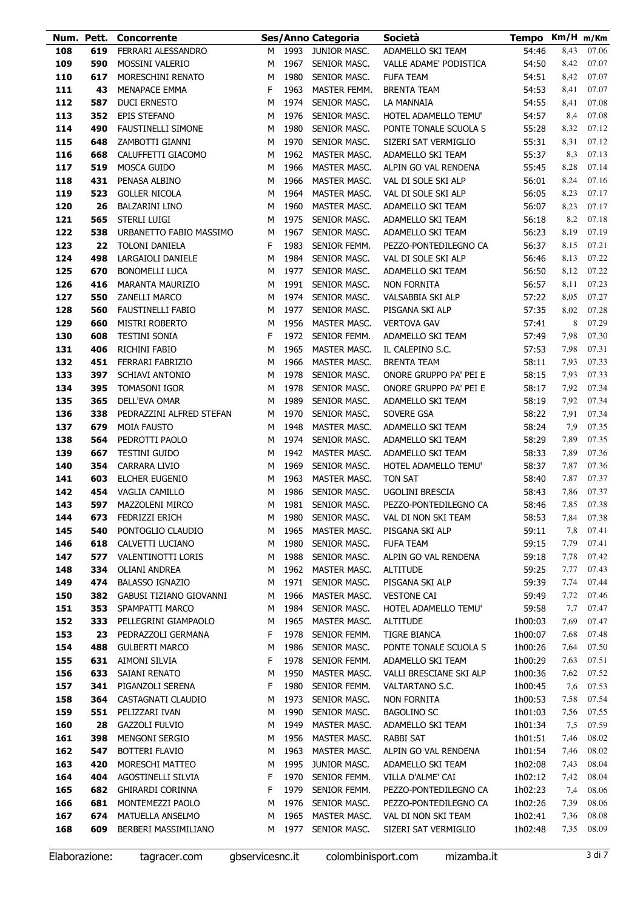|            | Num. Pett. | <b>Concorrente</b>                         |        |              | Ses/Anno Categoria           | <b>Società</b>                               | Tempo Km/H m/Km    |              |                |
|------------|------------|--------------------------------------------|--------|--------------|------------------------------|----------------------------------------------|--------------------|--------------|----------------|
| 108        | 619        | FERRARI ALESSANDRO                         | М      | 1993         | JUNIOR MASC.                 | ADAMELLO SKI TEAM                            | 54:46              | 8,43         | 07.06          |
| 109        | 590        | <b>MOSSINI VALERIO</b>                     | М      | 1967         | SENIOR MASC.                 | VALLE ADAME' PODISTICA                       | 54:50              | 8,42         | 07.07          |
| 110        | 617        | MORESCHINI RENATO                          | М      | 1980         | SENIOR MASC.                 | <b>FUFA TEAM</b>                             | 54:51              | 8,42         | 07.07          |
| 111        | 43         | <b>MENAPACE EMMA</b>                       | F      | 1963         | MASTER FEMM.                 | <b>BRENTA TEAM</b>                           | 54:53              | 8,41         | 07.07          |
| 112        | 587        | <b>DUCI ERNESTO</b>                        | М      | 1974         | SENIOR MASC.                 | LA MANNAIA                                   | 54:55              | 8,41         | 07.08          |
| 113        | 352        | <b>EPIS STEFANO</b>                        | M      | 1976         | SENIOR MASC.                 | HOTEL ADAMELLO TEMU'                         | 54:57              | 8,4          | 07.08          |
| 114        | 490        | <b>FAUSTINELLI SIMONE</b>                  | м      | 1980         | SENIOR MASC.                 | PONTE TONALE SCUOLA S                        | 55:28              | 8,32         | 07.12          |
| 115        | 648        | ZAMBOTTI GIANNI                            | М      | 1970         | SENIOR MASC.                 | SIZERI SAT VERMIGLIO                         | 55:31              | 8,31         | 07.12          |
| 116        | 668        | CALUFFETTI GIACOMO                         | M      | 1962         | MASTER MASC.                 | ADAMELLO SKI TEAM                            | 55:37              | 8,3          | 07.13          |
| 117        | 519        | MOSCA GUIDO                                | м      | 1966         | MASTER MASC.                 | ALPIN GO VAL RENDENA                         | 55:45              | 8,28         | 07.14          |
| 118        | 431        | PENASA ALBINO                              | м      | 1966         | MASTER MASC.                 | VAL DI SOLE SKI ALP                          | 56:01              | 8,24         | 07.16          |
| 119        | 523        | <b>GOLLER NICOLA</b>                       | M      | 1964         | MASTER MASC.                 | VAL DI SOLE SKI ALP                          | 56:05              | 8,23         | 07.17          |
| 120        | 26         | <b>BALZARINI LINO</b>                      | M      | 1960         | MASTER MASC.                 | ADAMELLO SKI TEAM                            | 56:07              | 8,23         | 07.17          |
| 121        | 565        | STERLI LUIGI                               | M      | 1975         | SENIOR MASC.                 | ADAMELLO SKI TEAM                            | 56:18              | 8,2          | 07.18          |
| 122        | 538<br>22  | URBANETTO FABIO MASSIMO                    | M<br>F | 1967<br>1983 | SENIOR MASC.                 | ADAMELLO SKI TEAM                            | 56:23              | 8,19         | 07.19          |
| 123<br>124 | 498        | <b>TOLONI DANIELA</b><br>LARGAIOLI DANIELE | M      | 1984         | SENIOR FEMM.<br>SENIOR MASC. | PEZZO-PONTEDILEGNO CA<br>VAL DI SOLE SKI ALP | 56:37<br>56:46     | 8,15<br>8,13 | 07.21<br>07.22 |
| 125        | 670        | <b>BONOMELLI LUCA</b>                      | M      | 1977         | SENIOR MASC.                 | ADAMELLO SKI TEAM                            | 56:50              | 8,12         | 07.22          |
| 126        | 416        | <b>MARANTA MAURIZIO</b>                    | M      | 1991         | SENIOR MASC.                 | <b>NON FORNITA</b>                           | 56:57              | 8,11         | 07.23          |
| 127        | 550        | <b>ZANELLI MARCO</b>                       | M      | 1974         | SENIOR MASC.                 | VALSABBIA SKI ALP                            | 57:22              | 8,05         | 07.27          |
| 128        | 560        | <b>FAUSTINELLI FABIO</b>                   | M      | 1977         | SENIOR MASC.                 | PISGANA SKI ALP                              | 57:35              | 8,02         | 07.28          |
| 129        | 660        | <b>MISTRI ROBERTO</b>                      | M      | 1956         | MASTER MASC.                 | <b>VERTOVA GAV</b>                           | 57:41              | 8            | 07.29          |
| 130        | 608        | <b>TESTINI SONIA</b>                       | F      | 1972         | SENIOR FEMM.                 | ADAMELLO SKI TEAM                            | 57:49              | 7,98         | 07.30          |
| 131        | 406        | RICHINI FABIO                              | М      | 1965         | MASTER MASC.                 | IL CALEPINO S.C.                             | 57:53              | 7,98         | 07.31          |
| 132        | 451        | FERRARI FABRIZIO                           | M      | 1966         | MASTER MASC.                 | <b>BRENTA TEAM</b>                           | 58:11              | 7,93         | 07.33          |
| 133        | 397        | SCHIAVI ANTONIO                            | M      | 1978         | SENIOR MASC.                 | ONORE GRUPPO PA' PEI E                       | 58:15              | 7,93         | 07.33          |
| 134        | 395        | <b>TOMASONI IGOR</b>                       | M      | 1978         | SENIOR MASC.                 | ONORE GRUPPO PA' PEI E                       | 58:17              | 7,92         | 07.34          |
| 135        | 365        | DELL'EVA OMAR                              | M      | 1989         | SENIOR MASC.                 | ADAMELLO SKI TEAM                            | 58:19              | 7,92         | 07.34          |
| 136        | 338        | PEDRAZZINI ALFRED STEFAN                   | М      | 1970         | SENIOR MASC.                 | SOVERE GSA                                   | 58:22              | 7,91         | 07.34          |
| 137        | 679        | <b>MOIA FAUSTO</b>                         | M      | 1948         | MASTER MASC.                 | ADAMELLO SKI TEAM                            | 58:24              | 7,9          | 07.35          |
| 138        | 564        | PEDROTTI PAOLO                             | M      | 1974         | SENIOR MASC.                 | ADAMELLO SKI TEAM                            | 58:29              | 7,89         | 07.35          |
| 139        | 667        | <b>TESTINI GUIDO</b>                       | м      | 1942         | MASTER MASC.                 | ADAMELLO SKI TEAM                            | 58:33              | 7,89         | 07.36          |
| 140        | 354        | CARRARA LIVIO                              | M      | 1969         | SENIOR MASC.                 | HOTEL ADAMELLO TEMU'                         | 58:37              | 7,87         | 07.36          |
| 141<br>142 | 603<br>454 | ELCHER EUGENIO<br>VAGLIA CAMILLO           | M<br>M | 1963<br>1986 | MASTER MASC.<br>SENIOR MASC. | TON SAT<br>UGOLINI BRESCIA                   | 58:40<br>58:43     | 7,87<br>7,86 | 07.37<br>07.37 |
| 143        | 597        | <b>MAZZOLENI MIRCO</b>                     | м      | 1981         | SENIOR MASC.                 | PEZZO-PONTEDILEGNO CA                        | 58:46              | 7,85         | 07.38          |
| 144        | 673        | FEDRIZZI ERICH                             | М      | 1980         | SENIOR MASC.                 | VAL DI NON SKI TEAM                          | 58:53              | 7,84         | 07.38          |
| 145        | 540        | PONTOGLIO CLAUDIO                          | М      | 1965         | MASTER MASC.                 | PISGANA SKI ALP                              | 59:11              | 7,8          | 07.41          |
| 146        | 618        | CALVETTI LUCIANO                           | М      | 1980         | SENIOR MASC.                 | <b>FUFA TEAM</b>                             | 59:15              | 7,79         | 07.41          |
| 147        | 577        | <b>VALENTINOTTI LORIS</b>                  | М      | 1988         | SENIOR MASC.                 | ALPIN GO VAL RENDENA                         | 59:18              | 7,78         | 07.42          |
| 148        | 334        | <b>OLIANI ANDREA</b>                       | М      |              | 1962 MASTER MASC.            | <b>ALTITUDE</b>                              | 59:25              | 7,77         | 07.43          |
| 149        | 474        | <b>BALASSO IGNAZIO</b>                     | М      | 1971         | SENIOR MASC.                 | PISGANA SKI ALP                              | 59:39              | 7,74         | 07.44          |
| 150        | 382        | GABUSI TIZIANO GIOVANNI                    | М      | 1966         | MASTER MASC.                 | <b>VESTONE CAI</b>                           | 59:49              | 7,72         | 07.46          |
| 151        | 353        | SPAMPATTI MARCO                            | М      | 1984         | SENIOR MASC.                 | HOTEL ADAMELLO TEMU'                         | 59:58              | 7,7          | 07.47          |
| 152        | 333        | PELLEGRINI GIAMPAOLO                       | М      | 1965         | MASTER MASC.                 | <b>ALTITUDE</b>                              | 1h00:03            | 7,69         | 07.47          |
| 153        | 23         | PEDRAZZOLI GERMANA                         | F      | 1978         | SENIOR FEMM.                 | TIGRE BIANCA                                 | 1h00:07            | 7,68         | 07.48          |
| 154        | 488        | <b>GULBERTI MARCO</b>                      | M      | 1986         | SENIOR MASC.                 | PONTE TONALE SCUOLA S                        | 1h00:26            | 7,64         | 07.50          |
| 155<br>156 | 631<br>633 | AIMONI SILVIA<br>SAIANI RENATO             | F      | 1978<br>1950 | SENIOR FEMM.<br>MASTER MASC. | ADAMELLO SKI TEAM<br>VALLI BRESCIANE SKI ALP | 1h00:29<br>1h00:36 | 7,63<br>7,62 | 07.51<br>07.52 |
| 157        | 341        | PIGANZOLI SERENA                           | M<br>F | 1980         | SENIOR FEMM.                 | VALTARTANO S.C.                              | 1h00:45            | 7,6          | 07.53          |
| 158        | 364        | CASTAGNATI CLAUDIO                         | М      | 1973         | SENIOR MASC.                 | <b>NON FORNITA</b>                           | 1h00:53            | 7,58         | 07.54          |
| 159        | 551        | PELIZZARI IVAN                             | М      | 1990         | SENIOR MASC.                 | <b>BAGOLINO SC</b>                           | 1h01:03            | 7,56         | 07.55          |
| 160        | 28         | <b>GAZZOLI FULVIO</b>                      | М      | 1949         | MASTER MASC.                 | ADAMELLO SKI TEAM                            | 1h01:34            | 7,5          | 07.59          |
| 161        | 398        | MENGONI SERGIO                             | М      | 1956         | MASTER MASC.                 | RABBI SAT                                    | 1h01:51            | 7,46         | 08.02          |
| 162        | 547        | <b>BOTTERI FLAVIO</b>                      | М      | 1963         | MASTER MASC.                 | ALPIN GO VAL RENDENA                         | 1h01:54            | 7,46         | 08.02          |
| 163        | 420        | MORESCHI MATTEO                            | M      | 1995         | JUNIOR MASC.                 | ADAMELLO SKI TEAM                            | 1h02:08            | 7,43         | 08.04          |
| 164        | 404        | AGOSTINELLI SILVIA                         | F      | 1970         | SENIOR FEMM.                 | VILLA D'ALME' CAI                            | 1h02:12            | 7,42         | 08.04          |
| 165        | 682        | <b>GHIRARDI CORINNA</b>                    | F      | 1979         | SENIOR FEMM.                 | PEZZO-PONTEDILEGNO CA                        | 1h02:23            | 7,4          | 08.06          |
| 166        | 681        | MONTEMEZZI PAOLO                           | М      | 1976         | SENIOR MASC.                 | PEZZO-PONTEDILEGNO CA                        | 1h02:26            | 7,39         | 08.06          |
| 167        | 674        | MATUELLA ANSELMO                           | M      | 1965         | MASTER MASC.                 | VAL DI NON SKI TEAM                          | 1h02:41            | 7,36         | 08.08          |
| 168        | 609        | BERBERI MASSIMILIANO                       | м      | 1977         | SENIOR MASC.                 | SIZERI SAT VERMIGLIO                         | 1h02:48            | 7,35         | 08.09          |
|            |            |                                            |        |              |                              |                                              |                    |              |                |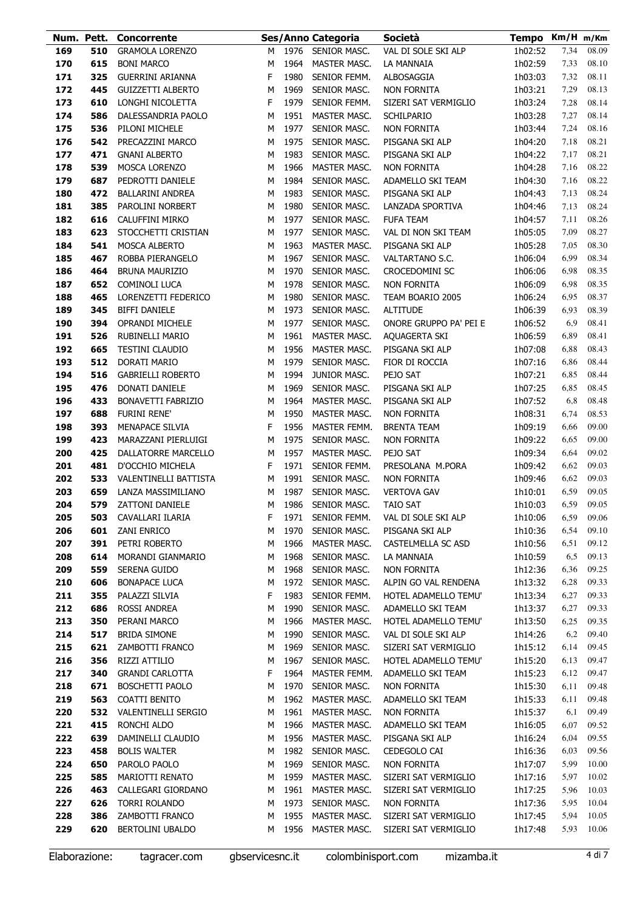|            |            | Num. Pett. Concorrente                     |        |              | Ses/Anno Categoria           | Società                                    | Tempo Km/H m/Km    |              |                |
|------------|------------|--------------------------------------------|--------|--------------|------------------------------|--------------------------------------------|--------------------|--------------|----------------|
| 169        | 510        | <b>GRAMOLA LORENZO</b>                     | м      | 1976         | SENIOR MASC.                 | VAL DI SOLE SKI ALP                        | 1h02:52            | 7,34         | 08.09          |
| 170        | 615        | <b>BONI MARCO</b>                          | M      | 1964         | MASTER MASC.                 | LA MANNAIA                                 | 1h02:59            | 7,33         | 08.10          |
| 171        | 325        | <b>GUERRINI ARIANNA</b>                    | F      | 1980         | SENIOR FEMM.                 | ALBOSAGGIA                                 | 1h03:03            | 7,32         | 08.11          |
| 172        | 445        | <b>GUIZZETTI ALBERTO</b>                   | M      | 1969         | SENIOR MASC.                 | NON FORNITA                                | 1h03:21            | 7,29         | 08.13          |
| 173        | 610        | LONGHI NICOLETTA                           | F      | 1979         | SENIOR FEMM.                 | SIZERI SAT VERMIGLIO                       | 1h03:24            | 7,28         | 08.14          |
| 174        | 586        | DALESSANDRIA PAOLO                         | M      | 1951         | MASTER MASC.                 | <b>SCHILPARIO</b>                          | 1h03:28            | 7,27         | 08.14          |
| 175        | 536        | PILONI MICHELE                             | M      | 1977         | SENIOR MASC.                 | NON FORNITA                                | 1h03:44            | 7,24         | 08.16          |
| 176        | 542        | PRECAZZINI MARCO                           | м      | 1975         | SENIOR MASC.                 | PISGANA SKI ALP                            | 1h04:20            | 7,18         | 08.21          |
| 177        | 471        | <b>GNANI ALBERTO</b>                       | м      | 1983         | SENIOR MASC.                 | PISGANA SKI ALP                            | 1h04:22            | 7,17         | 08.21          |
| 178        | 539        | <b>MOSCA LORENZO</b>                       | М      | 1966         | MASTER MASC.                 | NON FORNITA                                | 1h04:28            | 7,16         | 08.22          |
| 179        | 687        | PEDROTTI DANIELE                           | м      | 1984         | SENIOR MASC.                 | ADAMELLO SKI TEAM                          | 1h04:30            | 7,16         | 08.22          |
| 180        | 472        | <b>BALLARINI ANDREA</b>                    | м      | 1983         | SENIOR MASC.                 | PISGANA SKI ALP                            | 1h04:43            | 7,13         | 08.24          |
| 181        | 385        | PAROLINI NORBERT                           | м      | 1980         | SENIOR MASC.                 | LANZADA SPORTIVA                           | 1h04:46            | 7,13         | 08.24          |
| 182        | 616        | CALUFFINI MIRKO                            | м      | 1977         | SENIOR MASC.                 | <b>FUFA TEAM</b>                           | 1h04:57            | 7,11         | 08.26          |
| 183        | 623        | STOCCHETTI CRISTIAN                        | м      | 1977         | SENIOR MASC.                 | VAL DI NON SKI TEAM                        | 1h05:05            | 7,09         | 08.27          |
| 184        | 541        | <b>MOSCA ALBERTO</b>                       | М      | 1963         | MASTER MASC.                 | PISGANA SKI ALP                            | 1h05:28            | 7,05         | 08.30          |
| 185        | 467        | ROBBA PIERANGELO                           | M      | 1967         | SENIOR MASC.                 | VALTARTANO S.C.                            | 1h06:04            | 6,99         | 08.34          |
| 186        | 464        | <b>BRUNA MAURIZIO</b>                      | м      | 1970         | SENIOR MASC.                 | CROCEDOMINI SC                             | 1h06:06            | 6,98         | 08.35          |
| 187        | 652        | COMINOLI LUCA                              | М      | 1978         | SENIOR MASC.                 | <b>NON FORNITA</b>                         | 1h06:09            | 6,98         | 08.35          |
| 188        | 465        | LORENZETTI FEDERICO                        | M      | 1980         | SENIOR MASC.                 | TEAM BOARIO 2005                           | 1h06:24            | 6,95         | 08.37          |
| 189        | 345        | <b>BIFFI DANIELE</b>                       | м      | 1973         | SENIOR MASC.                 | <b>ALTITUDE</b>                            | 1h06:39            | 6,93         | 08.39          |
| 190        | 394        | <b>OPRANDI MICHELE</b>                     | м      | 1977         | SENIOR MASC.                 | ONORE GRUPPO PA' PEI E                     | 1h06:52            | 6,9          | 08.41          |
| 191        | 526        | RUBINELLI MARIO                            | м      | 1961         | MASTER MASC.                 | AQUAGERTA SKI                              | 1h06:59            | 6,89         | 08.41          |
| 192        | 665        | <b>TESTINI CLAUDIO</b>                     | м      | 1956         | MASTER MASC.                 | PISGANA SKI ALP                            | 1h07:08            | 6,88         | 08.43          |
| 193        | 512<br>516 | DORATI MARIO                               | м<br>м | 1979<br>1994 | SENIOR MASC.                 | FIOR DI ROCCIA                             | 1h07:16            | 6,86         | 08.44<br>08.44 |
| 194<br>195 | 476        | <b>GABRIELLI ROBERTO</b><br>DONATI DANIELE | м      | 1969         | JUNIOR MASC.<br>SENIOR MASC. | PEJO SAT<br>PISGANA SKI ALP                | 1h07:21<br>1h07:25 | 6,85<br>6,85 | 08.45          |
| 196        | 433        | <b>BONAVETTI FABRIZIO</b>                  | M      | 1964         | MASTER MASC.                 | PISGANA SKI ALP                            | 1h07:52            | 6,8          | 08.48          |
| 197        | 688        | <b>FURINI RENE'</b>                        | M      | 1950         | MASTER MASC.                 | NON FORNITA                                | 1h08:31            | 6,74         | 08.53          |
| 198        | 393        | MENAPACE SILVIA                            | F      | 1956         | MASTER FEMM.                 | <b>BRENTA TEAM</b>                         | 1h09:19            | 6,66         | 09.00          |
| 199        | 423        | MARAZZANI PIERLUIGI                        | M      | 1975         | SENIOR MASC.                 | <b>NON FORNITA</b>                         | 1h09:22            | 6,65         | 09.00          |
| 200        | 425        | DALLATORRE MARCELLO                        | М      | 1957         | MASTER MASC.                 | PEJO SAT                                   | 1h09:34            | 6,64         | 09.02          |
| 201        | 481        | D'OCCHIO MICHELA                           | F      | 1971         | SENIOR FEMM.                 | PRESOLANA M.PORA                           | 1h09:42            | 6,62         | 09.03          |
| 202        | 533        | VALENTINELLI BATTISTA                      | м      | 1991         | SENIOR MASC.                 | <b>NON FORNITA</b>                         | 1h09:46            | 6,62         | 09.03          |
| 203        | 659        | LANZA MASSIMILIANO                         | M      | 1987         | SENIOR MASC.                 | <b>VERTOVA GAV</b>                         | 1h10:01            | 6,59         | 09.05          |
| 204        | 579        | <b>ZATTONI DANIELE</b>                     | М      | 1986         | SENIOR MASC.                 | <b>TAIO SAT</b>                            | 1h10:03            | 6.59         | 09.05          |
| 205        | 503        | CAVALLARI ILARIA                           | F      |              | 1971 SENIOR FEMM.            | VAL DI SOLE SKI ALP                        | 1h10:06            | 6,59         | 09.06          |
| 206        | 601        | <b>ZANI ENRICO</b>                         | м      | 1970         | SENIOR MASC.                 | PISGANA SKI ALP                            | 1h10:36            | 6,54         | 09.10          |
| 207        | 391        | PETRI ROBERTO                              | М      | 1966         | MASTER MASC.                 | CASTELMELLA SC ASD                         | 1h10:56            | 6,51         | 09.12          |
| 208        | 614        | MORANDI GIANMARIO                          | М      | 1968         | SENIOR MASC.                 | LA MANNAIA                                 | 1h10:59            | 6,5          | 09.13          |
| 209        | 559        | SERENA GUIDO                               | м      | 1968         | SENIOR MASC.                 | NON FORNITA                                | 1h12:36            | 6,36         | 09.25          |
| 210        | 606        | <b>BONAPACE LUCA</b>                       | м      |              | 1972 SENIOR MASC.            | ALPIN GO VAL RENDENA                       | 1h13:32            | 6,28         | 09.33          |
| 211        | 355        | PALAZZI SILVIA                             | F      | 1983         | SENIOR FEMM.                 | HOTEL ADAMELLO TEMU'                       | 1h13:34            | 6,27         | 09.33          |
| 212        | 686        | <b>ROSSI ANDREA</b>                        | М      | 1990         | SENIOR MASC.                 | ADAMELLO SKI TEAM                          | 1h13:37            | 6,27         | 09.33          |
| 213        | 350        | PERANI MARCO                               | М      | 1966         | MASTER MASC.                 | HOTEL ADAMELLO TEMU'                       | 1h13:50            | 6,25         | 09.35          |
| 214        | 517        | <b>BRIDA SIMONE</b>                        | м      | 1990         | SENIOR MASC.                 | VAL DI SOLE SKI ALP                        | 1h14:26            | 6,2          | 09.40          |
| 215        | 621        | ZAMBOTTI FRANCO                            | М      | 1969         | SENIOR MASC.                 | SIZERI SAT VERMIGLIO                       | 1h15:12            | 6,14         | 09.45          |
| 216        | 356        | RIZZI ATTILIO                              | м      | 1967         | SENIOR MASC.                 | HOTEL ADAMELLO TEMU'                       | 1h15:20            | 6,13         | 09.47          |
| 217        | 340        | <b>GRANDI CARLOTTA</b>                     | F      | 1964         | MASTER FEMM.                 | ADAMELLO SKI TEAM                          | 1h15:23            | 6,12         | 09.47          |
| 218        | 671        | BOSCHETTI PAOLO                            | М      | 1970         | SENIOR MASC.                 | NON FORNITA                                | 1h15:30            | 6,11         | 09.48          |
| 219        | 563        | COATTI BENITO                              | м      | 1962         | MASTER MASC.                 | ADAMELLO SKI TEAM                          | 1h15:33            | 6,11         | 09.48          |
| 220        | 532        | VALENTINELLI SERGIO                        | м      | 1961         | MASTER MASC.                 | NON FORNITA                                | 1h15:37            | 6,1          | 09.49          |
| 221        | 415        | RONCHI ALDO                                | м      | 1966         | MASTER MASC.                 | ADAMELLO SKI TEAM                          | 1h16:05            | 6,07         | 09.52          |
| 222        | 639        | DAMINELLI CLAUDIO                          | м      | 1956         | MASTER MASC.                 | PISGANA SKI ALP                            | 1h16:24            | 6,04         | 09.55          |
| 223        | 458        | <b>BOLIS WALTER</b>                        | м      | 1982         | SENIOR MASC.                 | CEDEGOLO CAI                               | 1h16:36            | 6,03         | 09.56          |
| 224        | 650        | PAROLO PAOLO                               | м      | 1969         | SENIOR MASC.                 | <b>NON FORNITA</b>                         | 1h17:07            | 5,99         | 10.00          |
| 225        | 585<br>463 | <b>MARIOTTI RENATO</b>                     | м      | 1959         | MASTER MASC.                 | SIZERI SAT VERMIGLIO                       | 1h17:16            | 5,97         | 10.02          |
| 226<br>227 | 626        | CALLEGARI GIORDANO<br><b>TORRI ROLANDO</b> | м<br>м | 1961<br>1973 | MASTER MASC.<br>SENIOR MASC. | SIZERI SAT VERMIGLIO<br><b>NON FORNITA</b> | 1h17:25<br>1h17:36 | 5,96<br>5,95 | 10.03<br>10.04 |
| 228        | 386        | ZAMBOTTI FRANCO                            | м      | 1955         | MASTER MASC.                 | SIZERI SAT VERMIGLIO                       | 1h17:45            | 5,94         | 10.05          |
| 229        | 620        | <b>BERTOLINI UBALDO</b>                    | м      | 1956         | MASTER MASC.                 | SIZERI SAT VERMIGLIO                       | 1h17:48            | 5,93         | 10.06          |
|            |            |                                            |        |              |                              |                                            |                    |              |                |

Elaborazione: tagracer.com gbservicesnc.it colombinisport.com mizamba.it 4 di 7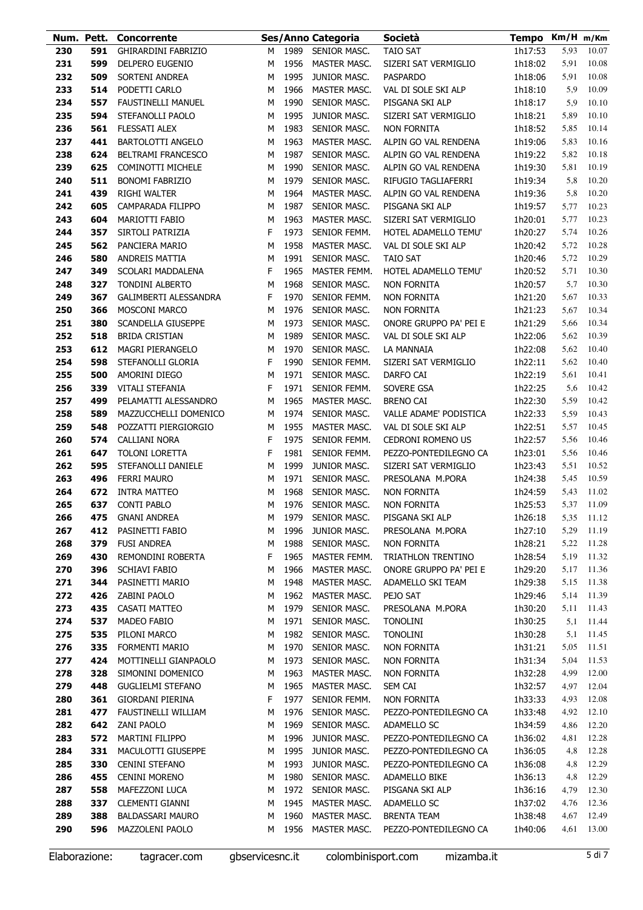| Num. Pett. |     | Concorrente                  |   |      | Ses/Anno Categoria  | Società                  | Tempo Km/H m/Km    |      |       |
|------------|-----|------------------------------|---|------|---------------------|--------------------------|--------------------|------|-------|
| 230        | 591 | <b>GHIRARDINI FABRIZIO</b>   | м | 1989 | SENIOR MASC.        | <b>TAIO SAT</b>          | 1h17:53            | 5,93 | 10.07 |
| 231        | 599 | DELPERO EUGENIO              | м | 1956 | MASTER MASC.        | SIZERI SAT VERMIGLIO     | 1h18:02            | 5,91 | 10.08 |
| 232        | 509 | SORTENI ANDREA               | М | 1995 | JUNIOR MASC.        | <b>PASPARDO</b>          | 1h18:06            | 5,91 | 10.08 |
| 233        | 514 | PODETTI CARLO                | М | 1966 | MASTER MASC.        | VAL DI SOLE SKI ALP      | 1h18:10            | 5,9  | 10.09 |
| 234        | 557 | <b>FAUSTINELLI MANUEL</b>    | М | 1990 | SENIOR MASC.        | PISGANA SKI ALP          | 1h18:17            | 5,9  | 10.10 |
| 235        | 594 | STEFANOLLI PAOLO             | М | 1995 | JUNIOR MASC.        | SIZERI SAT VERMIGLIO     | 1h18:21            | 5,89 | 10.10 |
| 236        | 561 | <b>FLESSATI ALEX</b>         | М | 1983 | SENIOR MASC.        | NON FORNITA              | 1h18:52            | 5,85 | 10.14 |
| 237        | 441 | <b>BARTOLOTTI ANGELO</b>     | М | 1963 | MASTER MASC.        | ALPIN GO VAL RENDENA     | 1h19:06            | 5,83 | 10.16 |
| 238        | 624 | <b>BELTRAMI FRANCESCO</b>    | М | 1987 | SENIOR MASC.        | ALPIN GO VAL RENDENA     | 1h19:22            | 5,82 | 10.18 |
| 239        | 625 | <b>COMINOTTI MICHELE</b>     | М | 1990 | SENIOR MASC.        | ALPIN GO VAL RENDENA     | 1h19:30            | 5,81 | 10.19 |
| 240        | 511 | <b>BONOMI FABRIZIO</b>       | М | 1979 | SENIOR MASC.        | RIFUGIO TAGLIAFERRI      | 1h19:34            | 5,8  | 10.20 |
| 241        | 439 | RIGHI WALTER                 | М | 1964 | MASTER MASC.        | ALPIN GO VAL RENDENA     | 1h19:36            | 5,8  | 10.20 |
| 242        | 605 | CAMPARADA FILIPPO            | М | 1987 | SENIOR MASC.        | PISGANA SKI ALP          | 1h19:57            | 5,77 | 10.23 |
| 243        | 604 | <b>MARIOTTI FABIO</b>        | М | 1963 | <b>MASTER MASC.</b> | SIZERI SAT VERMIGLIO     | 1h20:01            | 5,77 | 10.23 |
| 244        | 357 | SIRTOLI PATRIZIA             | F | 1973 | SENIOR FEMM.        | HOTEL ADAMELLO TEMU'     | 1h20:27            | 5,74 | 10.26 |
| 245        | 562 | PANCIERA MARIO               | М | 1958 | <b>MASTER MASC.</b> | VAL DI SOLE SKI ALP      | 1h20:42            | 5,72 | 10.28 |
| 246        | 580 | <b>ANDREIS MATTIA</b>        | М | 1991 | SENIOR MASC.        | <b>TAIO SAT</b>          | 1h20:46            | 5,72 | 10.29 |
| 247        | 349 | SCOLARI MADDALENA            | F | 1965 | MASTER FEMM.        | HOTEL ADAMELLO TEMU'     | 1h20:52            | 5,71 | 10.30 |
| 248        | 327 | <b>TONDINI ALBERTO</b>       | М | 1968 | SENIOR MASC.        | NON FORNITA              | 1h20:57            | 5,7  | 10.30 |
| 249        | 367 | <b>GALIMBERTI ALESSANDRA</b> | F | 1970 | SENIOR FEMM.        | NON FORNITA              | 1h21:20            | 5,67 | 10.33 |
| 250        | 366 | MOSCONI MARCO                | М | 1976 | SENIOR MASC.        | NON FORNITA              | 1h21:23            | 5,67 | 10.34 |
| 251        | 380 | SCANDELLA GIUSEPPE           | М | 1973 | SENIOR MASC.        | ONORE GRUPPO PA' PEI E   | 1h21:29            | 5,66 | 10.34 |
| 252        | 518 | <b>BRIDA CRISTIAN</b>        | М | 1989 | SENIOR MASC.        | VAL DI SOLE SKI ALP      | 1h22:06            | 5,62 | 10.39 |
| 253        | 612 | <b>MAGRI PIERANGELO</b>      | М | 1970 | SENIOR MASC.        | LA MANNAIA               | 1h22:08            | 5,62 | 10.40 |
| 254        | 598 | STEFANOLLI GLORIA            | F | 1990 | SENIOR FEMM.        | SIZERI SAT VERMIGLIO     | 1h22:11            | 5,62 | 10.40 |
| 255        | 500 | AMORINI DIEGO                | М | 1971 | SENIOR MASC.        | DARFO CAI                | 1h22:19            | 5,61 | 10.41 |
| 256        | 339 | <b>VITALI STEFANIA</b>       | F | 1971 | SENIOR FEMM.        | SOVERE GSA               | 1h22:25            | 5,6  | 10.42 |
| 257        | 499 | PELAMATTI ALESSANDRO         | М | 1965 | MASTER MASC.        | <b>BRENO CAI</b>         | 1h22:30            | 5,59 | 10.42 |
| 258        | 589 | MAZZUCCHELLI DOMENICO        | М | 1974 | SENIOR MASC.        | VALLE ADAME' PODISTICA   | 1h22:33            | 5,59 | 10.43 |
| 259        | 548 | POZZATTI PIERGIORGIO         | м | 1955 | <b>MASTER MASC.</b> | VAL DI SOLE SKI ALP      | 1h22:51            | 5,57 | 10.45 |
| 260        | 574 | <b>CALLIANI NORA</b>         | F | 1975 | SENIOR FEMM.        | <b>CEDRONI ROMENO US</b> | 1h22:57            | 5,56 | 10.46 |
| 261        | 647 | <b>TOLONI LORETTA</b>        | F | 1981 | SENIOR FEMM.        | PEZZO-PONTEDILEGNO CA    | 1h23:01            | 5,56 | 10.46 |
| 262        | 595 | STEFANOLLI DANIELE           | М | 1999 | JUNIOR MASC.        | SIZERI SAT VERMIGLIO     | 1h23:43            | 5,51 | 10.52 |
| 263        | 496 | <b>FERRI MAURO</b>           | М | 1971 | SENIOR MASC.        | PRESOLANA M.PORA         | 1h24:38            | 5,45 | 10.59 |
| 264        | 672 | <b>INTRA MATTEO</b>          | М | 1968 | SENIOR MASC.        | <b>NON FORNITA</b>       | 1h24:59            | 5,43 | 11.02 |
| 265        | 637 | <b>CONTI PABLO</b>           | м |      | 1976 SENIOR MASC.   | <b>NON FORNITA</b>       | 1h25:53            | 5,37 | 11.09 |
| 266        | 475 | <b>GNANI ANDREA</b>          |   |      | M 1979 SENIOR MASC. | PISGANA SKI ALP          | 1h26:18 5,35 11.12 |      |       |
| 267        | 412 | PASINETTI FABIO              | М | 1996 | JUNIOR MASC.        | PRESOLANA M.PORA         | 1h27:10            | 5,29 | 11.19 |
| 268        | 379 | <b>FUSI ANDREA</b>           | М | 1988 | SENIOR MASC.        | <b>NON FORNITA</b>       | 1h28:21            | 5,22 | 11.28 |
| 269        | 430 | REMONDINI ROBERTA            | F | 1965 | MASTER FEMM.        | TRIATHLON TRENTINO       | 1h28:54            | 5,19 | 11.32 |
| 270        | 396 | <b>SCHIAVI FABIO</b>         | М | 1966 | MASTER MASC.        | ONORE GRUPPO PA' PEI E   | 1h29:20            | 5,17 | 11.36 |
| 271        | 344 | PASINETTI MARIO              | М | 1948 | MASTER MASC.        | ADAMELLO SKI TEAM        | 1h29:38            | 5,15 | 11.38 |
| 272        | 426 | ZABINI PAOLO                 | М | 1962 | MASTER MASC.        | PEJO SAT                 | 1h29:46            | 5,14 | 11.39 |
| 273        | 435 | CASATI MATTEO                | М | 1979 | SENIOR MASC.        | PRESOLANA M.PORA         | 1h30:20            | 5,11 | 11.43 |
| 274        | 537 | MADEO FABIO                  | М | 1971 | SENIOR MASC.        | <b>TONOLINI</b>          | 1h30:25            | 5,1  | 11.44 |
| 275        | 535 | PILONI MARCO                 | M | 1982 | SENIOR MASC.        | <b>TONOLINI</b>          | 1h30:28            | 5,1  | 11.45 |
| 276        | 335 | FORMENTI MARIO               | М | 1970 | SENIOR MASC.        | <b>NON FORNITA</b>       | 1h31:21            | 5,05 | 11.51 |
| 277        | 424 | MOTTINELLI GIANPAOLO         | М | 1973 | SENIOR MASC.        | <b>NON FORNITA</b>       | 1h31:34            | 5,04 | 11.53 |
| 278        | 328 | SIMONINI DOMENICO            | М | 1963 | MASTER MASC.        | <b>NON FORNITA</b>       | 1h32:28            | 4,99 | 12.00 |
| 279        | 448 | <b>GUGLIELMI STEFANO</b>     | М | 1965 | MASTER MASC.        | SEM CAI                  | 1h32:57            | 4,97 | 12.04 |
| 280        | 361 | <b>GIORDANI PIERINA</b>      | F | 1977 | SENIOR FEMM.        | <b>NON FORNITA</b>       | 1h33:33            | 4,93 | 12.08 |
| 281        | 477 | FAUSTINELLI WILLIAM          | М | 1976 | SENIOR MASC.        | PEZZO-PONTEDILEGNO CA    | 1h33:48            | 4,92 | 12.10 |
| 282        | 642 | ZANI PAOLO                   | M | 1969 | SENIOR MASC.        | ADAMELLO SC              | 1h34:59            | 4,86 | 12.20 |
|            | 572 | <b>MARTINI FILIPPO</b>       | M | 1996 | JUNIOR MASC.        | PEZZO-PONTEDILEGNO CA    |                    | 4,81 | 12.28 |
| 283<br>284 | 331 | MACULOTTI GIUSEPPE           | М | 1995 | JUNIOR MASC.        | PEZZO-PONTEDILEGNO CA    | 1h36:02<br>1h36:05 | 4,8  | 12.28 |
|            |     |                              |   |      |                     |                          |                    |      |       |
| 285        | 330 | <b>CENINI STEFANO</b>        | М | 1993 | JUNIOR MASC.        | PEZZO-PONTEDILEGNO CA    | 1h36:08            | 4,8  | 12.29 |
| 286        | 455 | <b>CENINI MORENO</b>         | М | 1980 | SENIOR MASC.        | ADAMELLO BIKE            | 1h36:13            | 4,8  | 12.29 |
| 287        | 558 | MAFEZZONI LUCA               | М | 1972 | SENIOR MASC.        | PISGANA SKI ALP          | 1h36:16            | 4,79 | 12.30 |
| 288        | 337 | <b>CLEMENTI GIANNI</b>       | М | 1945 | MASTER MASC.        | ADAMELLO SC              | 1h37:02            | 4,76 | 12.36 |
| 289        | 388 | <b>BALDASSARI MAURO</b>      | М | 1960 | MASTER MASC.        | <b>BRENTA TEAM</b>       | 1h38:48            | 4,67 | 12.49 |
| 290        | 596 | MAZZOLENI PAOLO              | м | 1956 | MASTER MASC.        | PEZZO-PONTEDILEGNO CA    | 1h40:06            | 4,61 | 13.00 |
|            |     |                              |   |      |                     |                          |                    |      |       |

Elaborazione: tagracer.com gbservicesnc.it colombinisport.com mizamba.it 5 di 7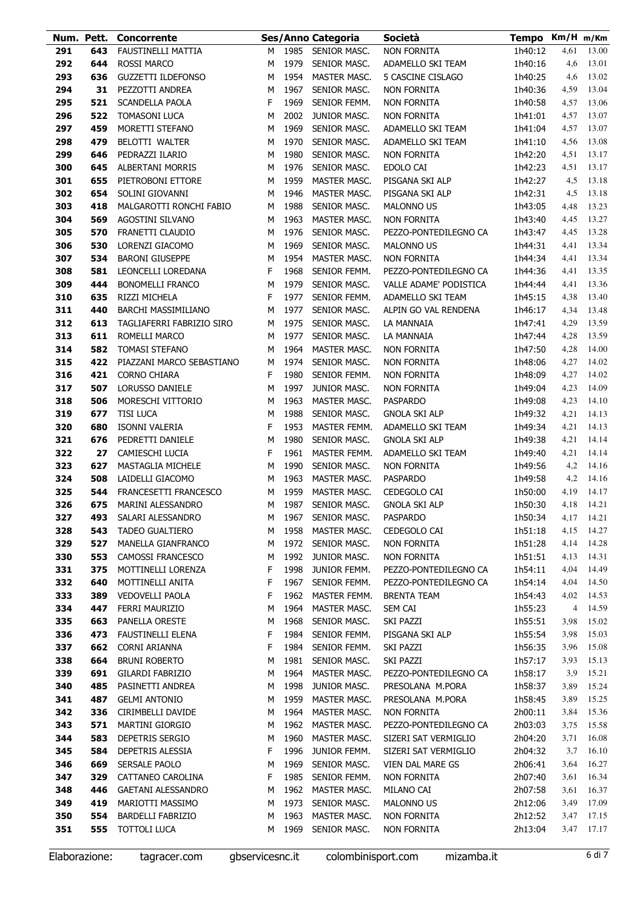|            | Num. Pett. | <b>Concorrente</b>                      |        |              | Ses/Anno Categoria           | Società                                    | Tempo Km/H m/Km    |              |                |
|------------|------------|-----------------------------------------|--------|--------------|------------------------------|--------------------------------------------|--------------------|--------------|----------------|
| 291        | 643        | <b>FAUSTINELLI MATTIA</b>               | м      | 1985         | SENIOR MASC.                 | <b>NON FORNITA</b>                         | 1h40:12            | 4,61         | 13.00          |
| 292        | 644        | ROSSI MARCO                             | М      | 1979         | SENIOR MASC.                 | ADAMELLO SKI TEAM                          | 1h40:16            | 4,6          | 13.01          |
| 293        | 636        | <b>GUZZETTI ILDEFONSO</b>               | М      | 1954         | MASTER MASC.                 | 5 CASCINE CISLAGO                          | 1h40:25            | 4,6          | 13.02          |
| 294        | 31         | PEZZOTTI ANDREA                         | М      | 1967         | SENIOR MASC.                 | NON FORNITA                                | 1h40:36            | 4,59         | 13.04          |
| 295        | 521        | <b>SCANDELLA PAOLA</b>                  | F      | 1969         | SENIOR FEMM.                 | NON FORNITA                                | 1h40:58            | 4,57         | 13.06          |
| 296        | 522        | <b>TOMASONI LUCA</b>                    | M      | 2002         | JUNIOR MASC.                 | NON FORNITA                                | 1h41:01            | 4,57         | 13.07          |
| 297        | 459        | MORETTI STEFANO                         | М      | 1969         | SENIOR MASC.                 | ADAMELLO SKI TEAM                          | 1h41:04            | 4,57         | 13.07          |
| 298        | 479        | BELOTTI WALTER                          | М      | 1970         | SENIOR MASC.                 | ADAMELLO SKI TEAM                          | 1h41:10            | 4,56         | 13.08          |
| 299        | 646        | PEDRAZZI ILARIO                         | М      | 1980         | SENIOR MASC.                 | NON FORNITA                                | 1h42:20            | 4,51         | 13.17          |
| 300        | 645        | <b>ALBERTANI MORRIS</b>                 | М      | 1976         | SENIOR MASC.                 | EDOLO CAI                                  | 1h42:23            | 4,51         | 13.17          |
| 301        | 655        | PIETROBONI ETTORE                       | М      | 1959         | <b>MASTER MASC.</b>          | PISGANA SKI ALP                            | 1h42:27            | 4,5          | 13.18          |
| 302        | 654        | SOLINI GIOVANNI                         | М      | 1946         | MASTER MASC.                 | PISGANA SKI ALP                            | 1h42:31            | 4,5          | 13.18          |
| 303        | 418        | MALGAROTTI RONCHI FABIO                 | М      | 1988         | SENIOR MASC.                 | <b>MALONNO US</b>                          | 1h43:05            | 4,48         | 13.23          |
| 304        | 569<br>570 | AGOSTINI SILVANO<br>FRANETTI CLAUDIO    | М      | 1963<br>1976 | MASTER MASC.                 | NON FORNITA                                | 1h43:40            | 4,45         | 13.27          |
| 305<br>306 | 530        | LORENZI GIACOMO                         | М<br>М | 1969         | SENIOR MASC.<br>SENIOR MASC. | PEZZO-PONTEDILEGNO CA<br><b>MALONNO US</b> | 1h43:47<br>1h44:31 | 4,45<br>4,41 | 13.28<br>13.34 |
| 307        | 534        | <b>BARONI GIUSEPPE</b>                  | М      | 1954         | MASTER MASC.                 | NON FORNITA                                | 1h44:34            | 4,41         | 13.34          |
| 308        | 581        | LEONCELLI LOREDANA                      | F      | 1968         | SENIOR FEMM.                 | PEZZO-PONTEDILEGNO CA                      | 1h44:36            | 4,41         | 13.35          |
| 309        | 444        | <b>BONOMELLI FRANCO</b>                 | М      | 1979         | SENIOR MASC.                 | VALLE ADAME' PODISTICA                     | 1h44:44            | 4,41         | 13.36          |
| 310        | 635        | RIZZI MICHELA                           | F      | 1977         | SENIOR FEMM.                 | ADAMELLO SKI TEAM                          | 1h45:15            | 4,38         | 13.40          |
| 311        | 440        | BARCHI MASSIMILIANO                     | М      | 1977         | SENIOR MASC.                 | ALPIN GO VAL RENDENA                       | 1h46:17            | 4,34         | 13.48          |
| 312        | 613        | TAGLIAFERRI FABRIZIO SIRO               | М      | 1975         | SENIOR MASC.                 | LA MANNAIA                                 | 1h47:41            | 4,29         | 13.59          |
| 313        | 611        | ROMELLI MARCO                           | M      | 1977         | SENIOR MASC.                 | LA MANNAIA                                 | 1h47:44            | 4,28         | 13.59          |
| 314        | 582        | <b>TOMASI STEFANO</b>                   | M      | 1964         | MASTER MASC.                 | NON FORNITA                                | 1h47:50            | 4,28         | 14.00          |
| 315        | 422        | PIAZZANI MARCO SEBASTIANO               | М      | 1974         | SENIOR MASC.                 | NON FORNITA                                | 1h48:06            | 4,27         | 14.02          |
| 316        | 421        | CORNO CHIARA                            | F      | 1980         | SENIOR FEMM.                 | NON FORNITA                                | 1h48:09            | 4,27         | 14.02          |
| 317        | 507        | <b>LORUSSO DANIELE</b>                  | М      | 1997         | JUNIOR MASC.                 | NON FORNITA                                | 1h49:04            | 4,23         | 14.09          |
| 318        | 506        | MORESCHI VITTORIO                       | М      | 1963         | MASTER MASC.                 | <b>PASPARDO</b>                            | 1h49:08            | 4,23         | 14.10          |
| 319        | 677        | <b>TISI LUCA</b>                        | М      | 1988         | SENIOR MASC.                 | <b>GNOLA SKI ALP</b>                       | 1h49:32            | 4,21         | 14.13          |
| 320        | 680        | <b>ISONNI VALERIA</b>                   | F      | 1953         | MASTER FEMM.                 | ADAMELLO SKI TEAM                          | 1h49:34            | 4,21         | 14.13          |
| 321        | 676        | PEDRETTI DANIELE                        | М      | 1980         | SENIOR MASC.                 | <b>GNOLA SKI ALP</b>                       | 1h49:38            | 4,21         | 14.14          |
| 322        | 27         | CAMIESCHI LUCIA                         | F      | 1961         | MASTER FEMM.                 | ADAMELLO SKI TEAM                          | 1h49:40            | 4,21         | 14.14          |
| 323        | 627        | MASTAGLIA MICHELE                       | М      | 1990         | SENIOR MASC.                 | <b>NON FORNITA</b>                         | 1h49:56            | 4,2          | 14.16          |
| 324        | 508        | LAIDELLI GIACOMO                        | М      | 1963         | MASTER MASC.                 | PASPARDO                                   | 1h49:58            | 4,2          | 14.16          |
| 325        | 544        | FRANCESETTI FRANCESCO                   | М      | 1959         | MASTER MASC.                 | CEDEGOLO CAI                               | 1h50:00            | 4,19         | 14.17          |
| 326        | 675        | <b>MARINI ALESSANDRO</b>                | М      | 1987         | SENIOR MASC.                 | GNOLA SKI ALP                              | 1h50:30            | 4,18         | 14.21          |
| 327        | 493        | SALARI ALESSANDRO                       | м      | 1967         | SENIOR MASC.                 | PASPARDO                                   | 1h50:34            | 4,17         | 14.21          |
| 328        | 543        | <b>TADEO GUALTIERO</b>                  | М      | 1958         | <b>MASTER MASC.</b>          | CEDEGOLO CAI                               | 1h51:18            | 4,15         | 14.27          |
| 329<br>330 | 527<br>553 | MANELLA GIANFRANCO<br>CAMOSSI FRANCESCO | М      | 1972<br>1992 | SENIOR MASC.<br>JUNIOR MASC. | <b>NON FORNITA</b><br><b>NON FORNITA</b>   | 1h51:28<br>1h51:51 | 4,14<br>4,13 | 14.28<br>14.31 |
| 331        | 375        | MOTTINELLI LORENZA                      | М<br>F | 1998         | JUNIOR FEMM.                 | PEZZO-PONTEDILEGNO CA                      | 1h54:11            | 4,04         | 14.49          |
| 332        | 640        | MOTTINELLI ANITA                        | F      | 1967         | SENIOR FEMM.                 | PEZZO-PONTEDILEGNO CA                      | 1h54:14            | 4,04         | 14.50          |
| 333        | 389        | <b>VEDOVELLI PAOLA</b>                  | F      | 1962         | MASTER FEMM.                 | <b>BRENTA TEAM</b>                         | 1h54:43            | 4,02         | 14.53          |
| 334        | 447        | <b>FERRI MAURIZIO</b>                   | м      | 1964         | MASTER MASC.                 | SEM CAI                                    | 1h55:23            | 4            | 14.59          |
| 335        | 663        | PANELLA ORESTE                          | M      | 1968         | SENIOR MASC.                 | SKI PAZZI                                  | 1h55:51            | 3,98         | 15.02          |
| 336        | 473        | <b>FAUSTINELLI ELENA</b>                | F      | 1984         | SENIOR FEMM.                 | PISGANA SKI ALP                            | 1h55:54            | 3,98         | 15.03          |
| 337        | 662        | CORNI ARIANNA                           | F      | 1984         | SENIOR FEMM.                 | SKI PAZZI                                  | 1h56:35            | 3,96         | 15.08          |
| 338        | 664        | <b>BRUNI ROBERTO</b>                    | М      | 1981         | SENIOR MASC.                 | SKI PAZZI                                  | 1h57:17            | 3,93         | 15.13          |
| 339        | 691        | GILARDI FABRIZIO                        | М      | 1964         | MASTER MASC.                 | PEZZO-PONTEDILEGNO CA                      | 1h58:17            | 3,9          | 15.21          |
| 340        | 485        | PASINETTI ANDREA                        | М      | 1998         | JUNIOR MASC.                 | PRESOLANA M.PORA                           | 1h58:37            | 3,89         | 15.24          |
| 341        | 487        | <b>GELMI ANTONIO</b>                    | М      | 1959         | MASTER MASC.                 | PRESOLANA M.PORA                           | 1h58:45            | 3,89         | 15.25          |
| 342        | 336        | CIRIMBELLI DAVIDE                       | М      | 1964         | MASTER MASC.                 | NON FORNITA                                | 2h00:11            | 3,84         | 15.36          |
| 343        | 571        | <b>MARTINI GIORGIO</b>                  | М      | 1962         | MASTER MASC.                 | PEZZO-PONTEDILEGNO CA                      | 2h03:03            | 3,75         | 15.58          |
| 344        | 583        | DEPETRIS SERGIO                         | М      | 1960         | MASTER MASC.                 | SIZERI SAT VERMIGLIO                       | 2h04:20            | 3,71         | 16.08          |
| 345        | 584        | DEPETRIS ALESSIA                        | F      | 1996         | JUNIOR FEMM.                 | SIZERI SAT VERMIGLIO                       | 2h04:32            | 3,7          | 16.10          |
| 346        | 669        | <b>SERSALE PAOLO</b>                    | M      | 1969         | SENIOR MASC.                 | VIEN DAL MARE GS                           | 2h06:41            | 3,64         | 16.27          |
| 347        | 329        | CATTANEO CAROLINA                       | F      | 1985         | SENIOR FEMM.                 | NON FORNITA                                | 2h07:40            | 3,61         | 16.34          |
| 348        | 446        | <b>GAETANI ALESSANDRO</b>               | М      | 1962         | MASTER MASC.                 | MILANO CAI                                 | 2h07:58            | 3,61         | 16.37          |
| 349        | 419        | MARIOTTI MASSIMO                        | М      | 1973         | SENIOR MASC.                 | <b>MALONNO US</b>                          | 2h12:06            | 3,49         | 17.09          |
| 350        | 554<br>555 | <b>BARDELLI FABRIZIO</b>                | М      | 1963         | MASTER MASC.                 | <b>NON FORNITA</b>                         | 2h12:52            | 3,47         | 17.15          |
| 351        |            | <b>TOTTOLI LUCA</b>                     | м      | 1969         | SENIOR MASC.                 | <b>NON FORNITA</b>                         | 2h13:04            | 3,47         | 17.17          |

Elaborazione: tagracer.com gbservicesnc.it colombinisport.com mizamba.it 6 di 7